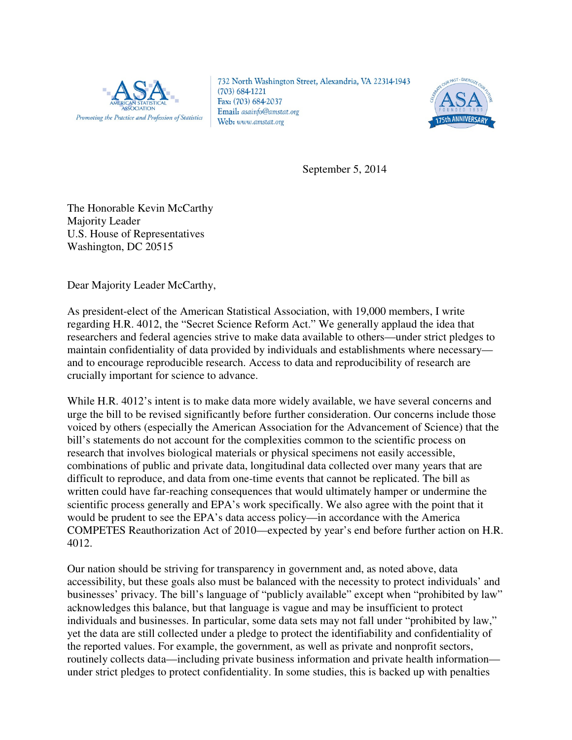

732 North Washington Street, Alexandria, VA 22314-1943  $(703) 684 - 1221$ Fax: (703) 684-2037 Email: asainfo@amstat.org Web: www.amstat.org



September 5, 2014

The Honorable Kevin McCarthy Majority Leader U.S. House of Representatives Washington, DC 20515

Dear Majority Leader McCarthy,

As president-elect of the American Statistical Association, with 19,000 members, I write regarding H.R. 4012, the "Secret Science Reform Act." We generally applaud the idea that researchers and federal agencies strive to make data available to others—under strict pledges to maintain confidentiality of data provided by individuals and establishments where necessary and to encourage reproducible research. Access to data and reproducibility of research are crucially important for science to advance.

While H.R. 4012's intent is to make data more widely available, we have several concerns and urge the bill to be revised significantly before further consideration. Our concerns include those voiced by others (especially the American Association for the Advancement of Science) that the bill's statements do not account for the complexities common to the scientific process on research that involves biological materials or physical specimens not easily accessible, combinations of public and private data, longitudinal data collected over many years that are difficult to reproduce, and data from one-time events that cannot be replicated. The bill as written could have far-reaching consequences that would ultimately hamper or undermine the scientific process generally and EPA's work specifically. We also agree with the point that it would be prudent to see the EPA's data access policy—in accordance with the America COMPETES Reauthorization Act of 2010—expected by year's end before further action on H.R. 4012.

Our nation should be striving for transparency in government and, as noted above, data accessibility, but these goals also must be balanced with the necessity to protect individuals' and businesses' privacy. The bill's language of "publicly available" except when "prohibited by law" acknowledges this balance, but that language is vague and may be insufficient to protect individuals and businesses. In particular, some data sets may not fall under "prohibited by law," yet the data are still collected under a pledge to protect the identifiability and confidentiality of the reported values. For example, the government, as well as private and nonprofit sectors, routinely collects data—including private business information and private health information under strict pledges to protect confidentiality. In some studies, this is backed up with penalties